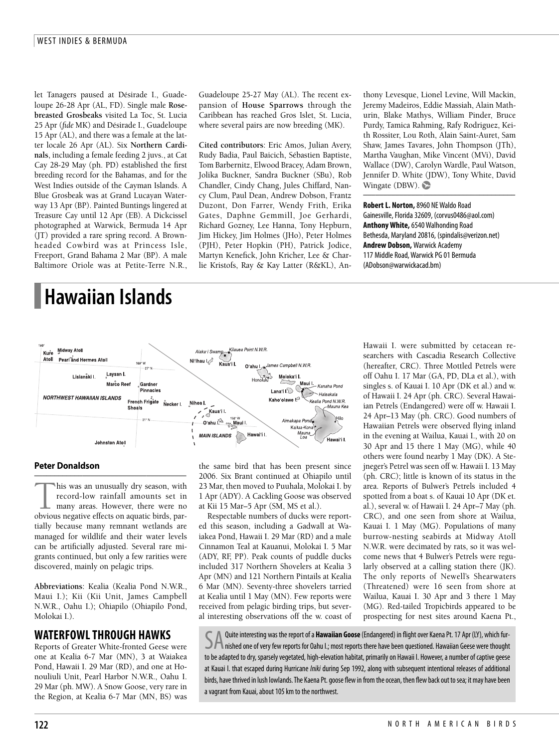let Tanagers paused at Désirade I., Guadeloupe 26-28 Apr (AL, FD). Single male **Rosebreasted Grosbeaks** visited La Toc, St. Lucia 25 Apr (*fide* MK) and Désirade I., Guadeloupe 15 Apr (AL), and there was a female at the latter locale 26 Apr (AL). Six **Northern Cardinals**, including a female feeding 2 juvs., at Cat Cay 28-29 May (ph. PD) established the first breeding record for the Bahamas, and for the West Indies outside of the Cayman Islands. A Blue Grosbeak was at Grand Lucayan Waterway 13 Apr (BP). Painted Buntings lingered at Treasure Cay until 12 Apr (EB). A Dickcissel photographed at Warwick, Bermuda 14 Apr (JT) provided a rare spring record. A Brownheaded Cowbird was at Princess Isle, Freeport, Grand Bahama 2 Mar (BP). A male Baltimore Oriole was at Petite-Terre N.R.,

# **Hawaiian Islands**

Guadeloupe 25-27 May (AL). The recent expansion of **House Sparrows** through the Caribbean has reached Gros Islet, St. Lucia, where several pairs are now breeding (MK).

**Cited contributors**: Eric Amos, Julian Avery, Rudy Badia, Paul Baicich, Sébastien Baptiste, Tom Barbernitz, Elwood Bracey, Adam Brown, Jolika Buckner, Sandra Buckner (SBu), Rob Chandler, Cindy Chang, Jules Chiffard, Nancy Clum, Paul Dean, Andrew Dobson, Frantz Duzont, Don Farrer, Wendy Frith, Erika Gates, Daphne Gemmill, Joe Gerhardi, Richard Gozney, Lee Hanna, Tony Hepburn, Jim Hickey, Jim Holmes (JHo), Peter Holmes (PJH), Peter Hopkin (PH), Patrick Jodice, Martyn Kenefick, John Kricher, Lee & Charlie Kristofs, Ray & Kay Latter (R&KL), Anthony Levesque, Lionel Levine, Will Mackin, Jeremy Madeiros, Eddie Massiah, Alain Mathurin, Blake Mathys, William Pinder, Bruce Purdy, Tamica Rahming, Rafy Rodriguez, Keith Rossiter, Lou Roth, Alain Saint-Auret, Sam Shaw, James Tavares, John Thompson (JTh), Martha Vaughan, Mike Vincent (MVi), David Wallace (DW), Carolyn Wardle, Paul Watson, Jennifer D. White (JDW), Tony White, David Wingate (DBW).  $\bullet$ 

––––––––––––––––––––––––––––––––––––––

**RobertL. Norton,**8960 NEWaldo Road Gainesville, Florida32609, (corvus0486@aol.com) **AnthonyWhite,**6540Walhonding Road Bethesda, Maryland 20816, (spindalis@verizon.net) **Andrew Dobson,** Warwick Academy 117 Middle Road, Warwick PG 01 Bermuda (ADobson@warwickacad.bm)



### **Peter Donaldson**

–––––––––––––––––––––––––––––––––––––– This was an unusually dry season, with<br>record-low rainfall amounts set in<br>many areas. However, there were no<br>obvious negative effects on aquatic birds, parrecord-low rainfall amounts set in many areas. However, there were no tially because many remnant wetlands are managed for wildlife and their water levels can be artificially adjusted. Several rare migrants continued, but only a few rarities were discovered, mainly on pelagic trips.

**Abbreviations**: Kealia (Kealia Pond N.W.R., Maui I.); Kii (Kii Unit, James Campbell N.W.R., Oahu I.); Ohiapilo (Ohiapilo Pond, Molokai I.).

## **WATERFOWLTHROUGH HAWKS**

Reports of Greater White-fronted Geese were one at Kealia 6-7 Mar (MN), 3 at Waiakea Pond, Hawaii I. 29 Mar (RD), and one at Honouliuli Unit, Pearl Harbor N.W.R., Oahu I. 29 Mar (ph. MW). A Snow Goose, very rare in the Region, at Kealia 6-7 Mar (MN, BS) was

the same bird that has been present since 2006. Six Brant continued at Ohiapilo until 23 Mar, then moved to Puuhala, Molokai I. by 1 Apr (ADY). A Cackling Goose was observed at Kii 15 Mar–5 Apr (SM, MS et al.).

Respectable numbers of ducks were reported this season, including a Gadwall at Waiakea Pond, Hawaii I. 29 Mar (RD) and a male Cinnamon Teal at Kauanui, Molokai I. 5 Mar (ADY, RF, PP). Peak counts of puddle ducks included 317 Northern Shovelers at Kealia 3 Apr (MN) and 121 Northern Pintails at Kealia 6 Mar (MN). Seventy-three shovelers tarried at Kealia until 1 May (MN). Few reports were received from pelagic birding trips, but several interesting observations off the w. coast of

Hawaii I. were submitted by cetacean researchers with Cascadia Research Collective (hereafter, CRC). Three Mottled Petrels were off Oahu I. 17 Mar (GA, PD, DLa et al.), with singles s. of Kauai I. 10 Apr (DK et al.) and w. of Hawaii I. 24 Apr (ph. CRC). Several Hawaiian Petrels (Endangered) were off w. Hawaii I. 24 Apr–13 May (ph. CRC). Good numbers of Hawaiian Petrels were observed flying inland in the evening at Wailua, Kauai I., with 20 on 30 Apr and 15 there 1 May (MG), while 40 others were found nearby 1 May (DK). A Stejneger's Petrel was seen off w. Hawaii I. 13 May (ph. CRC); little is known of its status in the area. Reports of Bulwer's Petrels included 4 spotted from a boat s. of Kauai 10 Apr (DK et. al.), several w. of Hawaii I. 24 Apr–7 May (ph. CRC), and one seen from shore at Wailua, Kauai I. 1 May (MG). Populations of many burrow-nesting seabirds at Midway Atoll N.W.R. were decimated by rats, so it was welcome news that 4 Bulwer's Petrels were regularly observed at a calling station there (JK). The only reports of Newell's Shearwaters (Threatened) were 16 seen from shore at Wailua, Kauai I. 30 Apr and 3 there 1 May (MG). Red-tailed Tropicbirds appeared to be prospecting for nest sites around Kaena Pt.,

Quite interesting was the report of a **Hawaiian Goose** (Endangered) in flight over Kaena Pt. 17 Apr (LY), which fur-Inished one of very few reports for Oahu I.; most reports there have been questioned. Hawaiian Geese were thought to be adapted to dry, sparsely vegetated, high-elevation habitat, primarily on Hawaii I. However, a number of captive geese at Kauai I. that escaped during Hurricane *Iniki* during Sep 1992, along with subsequent intentional releases of additional birds, have thrived in lush lowlands. The Kaena Pt. goose flew in from the ocean, then flew back out to sea; it may have been a vagrant from Kauai, about 105 km to the northwest.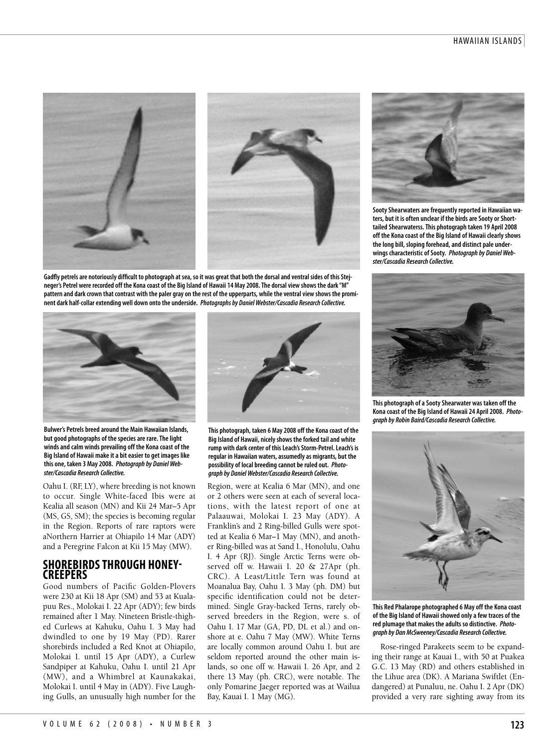



Gadfly petrels are notoriously difficult to photograph at sea, so it was great that both the dorsal and ventral sides of this Stejneger's Petrel were recorded off the Kona coast of the Big Island of Hawaii 14 May 2008. The dorsal view shows the dark "M" pattern and dark crown that contrast with the paler gray on the rest of the upperparts, while the ventral view shows the promi**nent dark half-collarextending well down onto the underside.** *Photographs by DanielWebster/Cascadia Research Collective.*



**Bulwer's Petrels breed around the Main Hawaiian Islands, but good photographs of thespeciesarerare.Thelight windsand calm winds prevailing off the Konacoast of the Big Island of Hawaii makeita biteasier to get images like this one, taken 3 May 2008.** *Photograph by DanielWebster/Cascadia Research Collective.*

Oahu I. (RF, LY), where breeding is not known to occur. Single White-faced Ibis were at Kealia all season (MN) and Kii 24 Mar–5 Apr (MS, GS, SM); the species is becoming regular in the Region. Reports of rare raptors were aNorthern Harrier at Ohiapilo 14 Mar (ADY) and a Peregrine Falcon at Kii 15 May (MW).

## **SHOREBIRDSTHROUGH HONEY- CREEPERS**

Good numbers of Pacific Golden-Plovers were 230 at Kii 18 Apr (SM) and 53 at Kualapuu Res., Molokai I. 22 Apr (ADY); few birds remained after 1 May. Nineteen Bristle-thighed Curlews at Kahuku, Oahu I. 3 May had dwindled to one by 19 May (PD). Rarer shorebirds included a Red Knot at Ohiapilo, Molokai I. until 15 Apr (ADY), a Curlew Sandpiper at Kahuku, Oahu I. until 21 Apr (MW), and a Whimbrel at Kaunakakai, Molokai I. until 4 May in (ADY). Five Laughing Gulls, an unusually high number for the



**This photograph, taken 6 May 2008 off the Konacoast of the Big Island of Hawaii, nicelyshows theforked tailand white** rump with dark center of this Leach's Storm-Petrel. Leach's is **regular in Hawaiian waters,assumedlyas migrants, but the possibility of local breeding cannot beruled out.** *Photograph by DanielWebster/Cascadia Research Collective.*

Region, were at Kealia 6 Mar (MN), and one or 2 others were seen at each of several locations, with the latest report of one at Palaauwai, Molokai I. 23 May (ADY). A Franklin's and 2 Ring-billed Gulls were spotted at Kealia 6 Mar–1 May (MN), and another Ring-billed was at Sand I., Honolulu, Oahu I. 4 Apr (RJ). Single Arctic Terns were observed off w. Hawaii I. 20 & 27Apr (ph. CRC). A Least/Little Tern was found at Moanalua Bay, Oahu I. 3 May (ph. DM) but specific identification could not be determined. Single Gray-backed Terns, rarely observed breeders in the Region, were s. of Oahu I. 17 Mar (GA, PD, DL et al.) and onshore at e. Oahu 7 May (MW). White Terns are locally common around Oahu I. but are seldom reported around the other main islands, so one off w. Hawaii I. 26 Apr, and 2 there 13 May (ph. CRC), were notable. The only Pomarine Jaeger reported was at Wailua Bay, Kauai I. 1 May (MG).



**SootyShearwatersarefrequentlyreported in Hawaiian waters, but it is often unclear if the birds are Sooty or Shorttailed Shearwaterss.This photograph taken 19 April 2008 off the Konacoast of the Big Island of Hawaii clearlyshows thelong bill, sloping forehead,and distinct pale under** $w$ ings characteristic of Sooty. Photograph by Daniel Web*ster/Cascadia Research Collective.*



**This photograph ofaSootyShearwater was taken off the Konacoast of the Big Island of Hawaii 24 April 2008.** *Photograph by Robin Baird/Cascadia Research Collective.*



**This Red Phalarope photographed 6 May off the Konacoast of the Big Island of Hawaii showed onlyafew traces of the** red plumage that makes the adults so distinctive. Photo*graph by Dan McSweeney/Cascadia Research Collective.*

Rose-ringed Parakeets seem to be expanding their range at Kauai I., with 50 at Puakea G.C. 13 May (RD) and others established in the Lihue area (DK). A Mariana Swiftlet (Endangered) at Punaluu, ne. Oahu I. 2 Apr (DK) provided a very rare sighting away from its